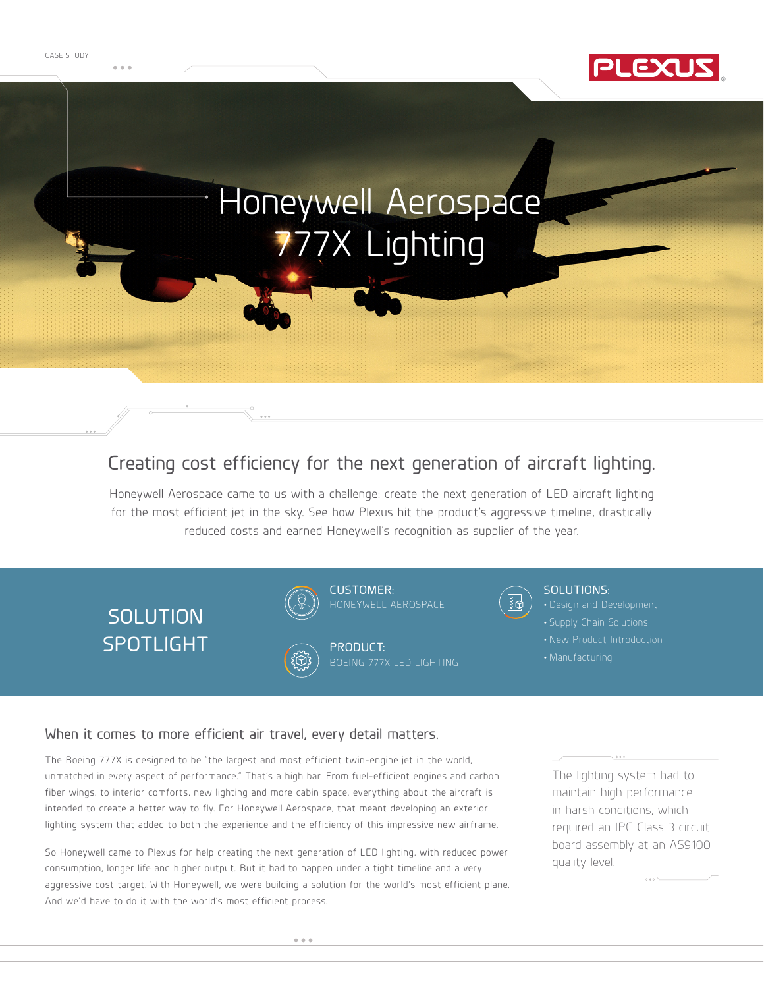

# Honeywell Aerospace 77X Lighting

### Creating cost efficiency for the next generation of aircraft lighting.

Honeywell Aerospace came to us with a challenge: create the next generation of LED aircraft lighting for the most efficient jet in the sky. See how Plexus hit the product's aggressive timeline, drastically reduced costs and earned Honeywell's recognition as supplier of the year.

# **SOLUTION** SPOTLIGHT







PRODUCT:



#### SOLUTIONS:

- 
- New Product Introduction
- 

#### When it comes to more efficient air travel, every detail matters.

The Boeing 777X is designed to be "the largest and most efficient twin-engine jet in the world, unmatched in every aspect of performance." That's a high bar. From fuel-efficient engines and carbon fiber wings, to interior comforts, new lighting and more cabin space, everything about the aircraft is intended to create a better way to fly. For Honeywell Aerospace, that meant developing an exterior lighting system that added to both the experience and the efficiency of this impressive new airframe.

So Honeywell came to Plexus for help creating the next generation of LED lighting, with reduced power consumption, longer life and higher output. But it had to happen under a tight timeline and a very aggressive cost target. With Honeywell, we were building a solution for the world's most efficient plane. And we'd have to do it with the world's most efficient process.

The lighting system had to maintain high performance in harsh conditions, which required an IPC Class 3 circuit board assembly at an AS9100 quality level.